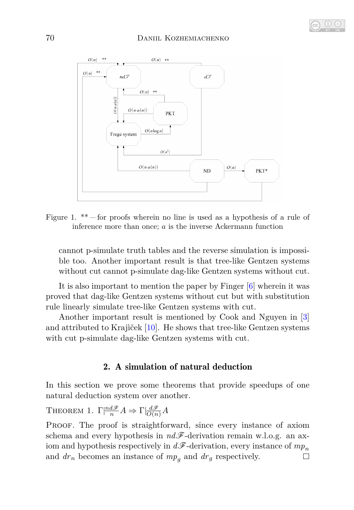

<span id="page-3-1"></span>Figure 1.  $**$  for proofs wherein no line is used as a hypothesis of a rule of inference more than once; *a* is the inverse Ackermann function

cannot p-simulate truth tables and the reverse simulation is impossible too. Another important result is that tree-like Gentzen systems without cut cannot p-simulate dag-like Gentzen systems without cut.

It is also important to mention the paper by Finger [\[6\]](#page-16-0) wherein it was proved that dag-like Gentzen systems without cut but with substitution rule linearly simulate tree-like Gentzen systems with cut.

Another important result is mentioned by Cook and Nguyen in [\[3\]](#page-16-1) and attributed to Krajìček [\[10\]](#page-17-0). He shows that tree-like Gentzen systems with cut p-simulate dag-like Gentzen systems with cut.

## 2. A simulation of natural deduction

In this section we prove some theorems that provide speedups of one natural deduction system over another.

<span id="page-3-0"></span>**THEOREM 1.**  $\Gamma \left| \frac{nd\mathscr{F}}{n} A \Rightarrow \Gamma \left| \frac{d\mathscr{F}}{O(n)} A \right|$ 

PROOF. The proof is straightforward, since every instance of axiom schema and every hypothesis in  $nd\mathscr{F}$ -derivation remain w.l.o.g. an axiom and hypothesis respectively in  $d\mathscr{F}$ -derivation, every instance of  $mp_n$ and  $dr_n$  becomes an instance of  $mp_q$  and  $dr_g$  respectively.  $\Box$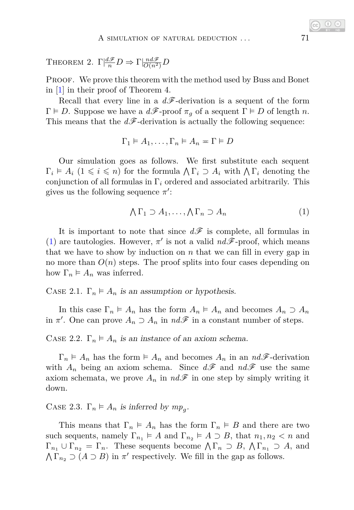THEOREM 2.  $\Gamma \left| \frac{d\mathscr{F}}{n} D \right| \Rightarrow \Gamma \left| \frac{nd\mathscr{F}}{O(n^2)} D \right|$ 

PROOF. We prove this theorem with the method used by Buss and Bonet in [\[1\]](#page-16-2) in their proof of Theorem 4.

Recall that every line in a  $d\mathscr{F}$ -derivation is a sequent of the form  $\Gamma \models D$ . Suppose we have a  $d\mathscr{F}$ -proof  $\pi_q$  of a sequent  $\Gamma \models D$  of length *n*. This means that the  $d\mathcal{F}$ -derivation is actually the following sequence:

$$
\Gamma_1 \vDash A_1, \ldots, \Gamma_n \vDash A_n = \Gamma \vDash D
$$

Our simulation goes as follows. We first substitute each sequent  $\Gamma_i \models A_i \ (1 \leq i \leq n)$  for the formula  $\bigwedge \Gamma_i \supset A_i$  with  $\bigwedge \Gamma_i$  denoting the conjunction of all formulas in Γ*<sup>i</sup>* ordered and associated arbitrarily. This gives us the following sequence  $\pi'$ :

<span id="page-4-0"></span>
$$
\bigwedge \Gamma_1 \supset A_1, \dots, \bigwedge \Gamma_n \supset A_n \tag{1}
$$

It is important to note that since  $d\mathscr{F}$  is complete, all formulas in [\(1\)](#page-4-0) are tautologies. However,  $\pi'$  is not a valid  $nd\mathscr{F}$ -proof, which means that we have to show by induction on *n* that we can fill in every gap in no more than  $O(n)$  steps. The proof splits into four cases depending on how  $\Gamma_n \models A_n$  was inferred.

CASE 2.1.  $\Gamma_n \models A_n$  is an assumption or hypothesis.

In this case  $\Gamma_n \models A_n$  has the form  $A_n \models A_n$  and becomes  $A_n \supset A_n$ in  $\pi'$ . One can prove  $A_n \supset A_n$  in  $nd\mathscr{F}$  in a constant number of steps.

CASE 2.2.  $\Gamma_n \models A_n$  is an instance of an axiom schema.

 $\Gamma_n \models A_n$  has the form  $\models A_n$  and becomes  $A_n$  in an  $nd\mathscr{F}$ -derivation with  $A_n$  being an axiom schema. Since  $d\mathscr{F}$  and  $nd\mathscr{F}$  use the same axiom schemata, we prove  $A_n$  in  $nd\mathscr{F}$  in one step by simply writing it down.

CASE 2.3.  $\Gamma_n \models A_n$  is inferred by  $mp_g$ .

This means that  $\Gamma_n \models A_n$  has the form  $\Gamma_n \models B$  and there are two such sequents, namely  $\Gamma_{n_1} \models A$  and  $\Gamma_{n_2} \models A \supset B$ , that  $n_1, n_2 < n$  and  $\Gamma_{n_1} \cup \Gamma_{n_2} = \Gamma_n$ . These sequents become  $\bigwedge \Gamma_n \supset B$ ,  $\bigwedge \Gamma_{n_1} \supset A$ , and  $\bigwedge \Gamma_{n_2} \supset (A \supset B)$  in  $\pi'$  respectively. We fill in the gap as follows.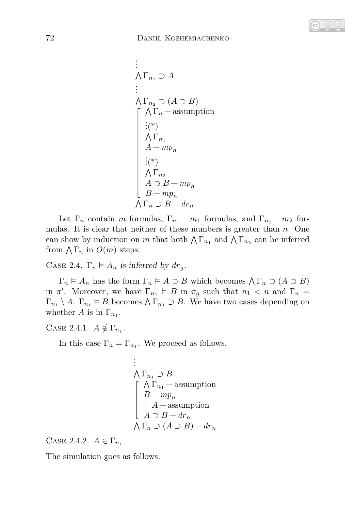

$$
\begin{array}{l}\n\vdots \\
\bigwedge \Gamma_{n_1} \supset A \\
\vdots \\
\bigwedge \Gamma_{n_2} \supset (A \supset B) \\
\bigwedge \Gamma_n \quad \text{-assumption} \\
\vdots \\
\bigwedge \Gamma_{n_1} \\
A - mp_n \\
\vdots \\
\bigwedge \Gamma_{n_2} \\
A \supset B - mp_n \\
B - mp_n \\
\bigwedge \Gamma_n \supset B - dr_n\n\end{array}
$$

Let  $\Gamma_n$  contain *m* formulas,  $\Gamma_{n_1} - m_1$  formulas, and  $\Gamma_{n_2} - m_2$  formulas. It is clear that neither of these numbers is greater than *n*. One can show by induction on *m* that both  $\bigwedge \Gamma_{n_1}$  and  $\bigwedge \Gamma_{n_2}$  can be inferred from  $\bigwedge \Gamma_n$  in  $O(m)$  steps.

CASE 2.4.  $\Gamma_n \models A_n$  is inferred by  $dr_q$ .

 $\Gamma_n \models A_n$  has the form  $\Gamma_n \models A \supset B$  which becomes  $\bigwedge \Gamma_n \supset (A \supset B)$ in  $\pi'$ . Moreover, we have  $\Gamma_{n_1} \models B$  in  $\pi_g$  such that  $n_1 < n$  and  $\Gamma_n =$  $\Gamma_{n_1} \setminus A$ .  $\Gamma_{n_1} \models B$  becomes  $\bigwedge \Gamma_{n_1} \supset B$ . We have two cases depending on whether *A* is in  $\Gamma_{n_1}$ .

CASE 2.4.1.  $A \notin \Gamma_{n_1}$ .

In this case  $\Gamma_n = \Gamma_{n_1}$ . We proceed as follows.

$$
\begin{array}{l}\n\vdots \\
\bigwedge \Gamma_{n_1} \supset B \\
\begin{bmatrix}\n\bigwedge \Gamma_{n_1} - \text{assumption} \\
B - mp_n \\
\begin{bmatrix}\nA - \text{assumption} \\
A \supset B - dr_n\n\end{bmatrix} \\
\bigwedge \Gamma_n \supset (A \supset B) - dr_n\n\end{array}
$$

CASE 2.4.2.  $A \in \Gamma_{n_1}$ 

The simulation goes as follows.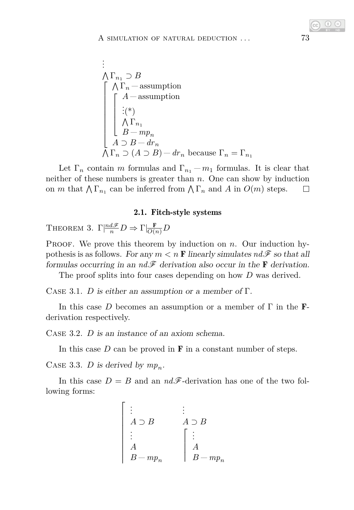$$
\begin{array}{l}\n\vdots \\
\bigwedge \Gamma_{n_1} \supset B \\
\begin{bmatrix}\n\bigwedge \Gamma_n \quad \text{assumption} \\
\vdots \\
\bigwedge \Gamma_{n_1} \\
\bigwedge \Gamma_{n_1} \\
B - mp_n \\
A \supset B - dr_n \\
\bigwedge \Gamma_n \supset (A \supset B) - dr_n \text{ because } \Gamma_n = \Gamma_{n_1}\n\end{bmatrix}\n\end{array}
$$

Let  $\Gamma_n$  contain *m* formulas and  $\Gamma_{n_1} - m_1$  formulas. It is clear that neither of these numbers is greater than *n*. One can show by induction on *m* that  $\bigwedge \Gamma_{n_1}$  can be inferred from  $\bigwedge \Gamma_n$  and *A* in  $O(m)$  steps.  $\Box$ 

### 2.1. Fitch-style systems

THEOREM 3.  $\Gamma|\frac{nd\mathscr{F}}{n}D \Rightarrow \Gamma|\frac{\mathbf{F}}{O(n)}D$ 

PROOF. We prove this theorem by induction on *n*. Our induction hypothesis is as follows. For any  $m < n$  **F** linearly simulates  $nd\mathcal{F}$  so that all formulas occurring in an  $nd\mathscr{F}$  derivation also occur in the **F** derivation.

The proof splits into four cases depending on how *D* was derived.

CASE 3.1. *D* is either an assumption or a member of  $\Gamma$ .

In this case *D* becomes an assumption or a member of  $\Gamma$  in the **F**derivation respectively.

Case 3.2. *D* is an instance of an axiom schema.

In this case  $D$  can be proved in  $\bf{F}$  in a constant number of steps.

CASE 3.3. *D* is derived by  $mp_n$ .

In this case  $D = B$  and an  $nd\mathscr{F}$ -derivation has one of the two following forms:

$$
\begin{bmatrix}\n\vdots & \vdots & \vdots \\
A \supset B & A \supset B \\
\vdots & \vdots & \vdots \\
A & A \\
B - mp_n & B - mp_n\n\end{bmatrix}
$$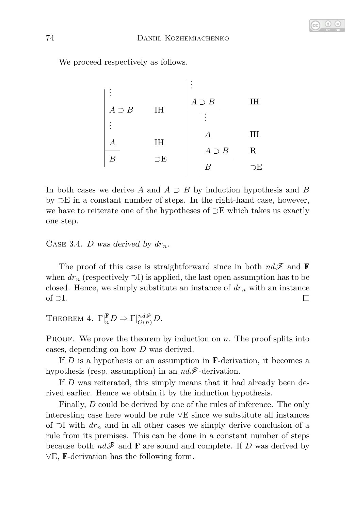

We proceed respectively as follows.

. . . *A* ⊃ *B* IH . . . *A* IH *B* ⊃E . . . *A* ⊃ *B* IH . . . *A* IH *A* ⊃ *B* R *B* ⊃E

In both cases we derive *A* and *A* ⊃ *B* by induction hypothesis and *B* by ⊃E in a constant number of steps. In the right-hand case, however, we have to reiterate one of the hypotheses of ⊃E which takes us exactly one step.

CASE 3.4. *D* was derived by  $dr_n$ .

The proof of this case is straightforward since in both  $nd\mathscr{F}$  and **F** when  $dr_n$  (respectively  $\supset I$ ) is applied, the last open assumption has to be closed. Hence, we simply substitute an instance of  $dr<sub>n</sub>$  with an instance  $\Box$ of ⊃I.

THEOREM 4.  $\Gamma \vert \frac{\mathbf{F}}{n} D \Rightarrow \Gamma \vert \frac{nd\mathcal{F}}{O(n)} D$ .

PROOF. We prove the theorem by induction on *n*. The proof splits into cases, depending on how *D* was derived.

If *D* is a hypothesis or an assumption in F-derivation, it becomes a hypothesis (resp. assumption) in an *nd*F-derivation.

If *D* was reiterated, this simply means that it had already been derived earlier. Hence we obtain it by the induction hypothesis.

Finally, *D* could be derived by one of the rules of inference. The only interesting case here would be rule ∨E since we substitute all instances of ⊃I with *dr<sup>n</sup>* and in all other cases we simply derive conclusion of a rule from its premises. This can be done in a constant number of steps because both  $nd\mathcal{F}$  and **F** are sound and complete. If *D* was derived by ∨E, F-derivation has the following form.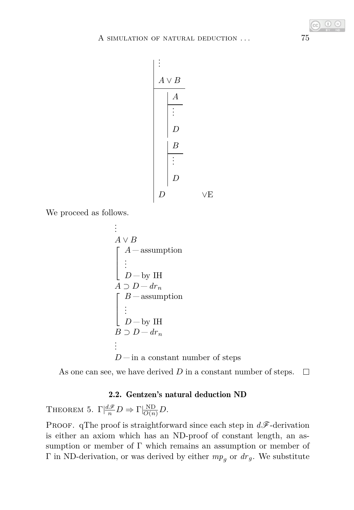

We proceed as follows.

$$
A ∨ B
$$
\n
$$
\begin{bmatrix}\nA - \text{assumption} \\
\vdots \\
D - \text{by IH} \\
A ∋ D - dr_n\n\end{bmatrix}
$$
\n
$$
\begin{bmatrix}\nB - \text{assumption} \\
\vdots \\
D - \text{by IH} \\
B ∋ D - dr_n\n\end{bmatrix}
$$
\n
$$
D - \text{in a constant number of steps}
$$

As one can see, we have derived *D* in a constant number of steps.  $\Box$ 

## 2.2. Gentzen's natural deduction ND

THEOREM 5.  $\Gamma \left| \frac{d\mathscr{F}}{n} D \right| \to \Gamma \left| \frac{ND}{O(n)} D \right|$ .

PROOF. qThe proof is straightforward since each step in  $d\mathscr{F}$ -derivation is either an axiom which has an ND-proof of constant length, an assumption or member of Γ which remains an assumption or member of Γ in ND-derivation, or was derived by either  $mp_q$  or  $dr_g$ . We substitute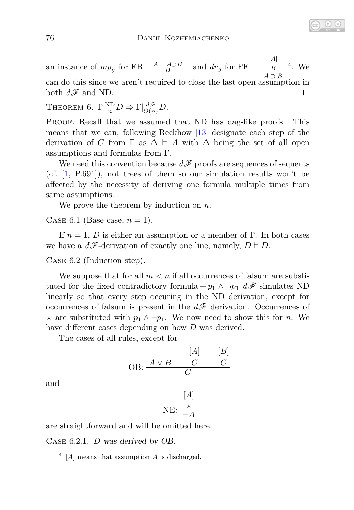[*A*] an instance of  $mp_g$  for FB –  $\frac{A \quad A \supset B}{B}$  – and  $dr_g$  for FE – [4](#page-9-0) . We *B A* ⊃ *B* can do this since we aren't required to close the last open assumption in both  $d\mathscr{F}$  and ND.  $\Box$ 

THEOREM 6.  $\Gamma \vert \frac{ND}{n} D \Rightarrow \Gamma \vert \frac{d\mathscr{F}}{O(n)} D$ .

Proof. Recall that we assumed that ND has dag-like proofs. This means that we can, following Reckhow [\[13\]](#page-17-1) designate each step of the derivation of *C* from  $\Gamma$  as  $\Delta \models A$  with  $\Delta$  being the set of all open assumptions and formulas from Γ.

We need this convention because  $d\mathcal{F}$  proofs are sequences of sequents (cf. [\[1,](#page-16-2) P.691]), not trees of them so our simulation results won't be affected by the necessity of deriving one formula multiple times from same assumptions.

We prove the theorem by induction on *n*.

CASE 6.1 (Base case,  $n = 1$ ).

If  $n = 1$ , *D* is either an assumption or a member of Γ. In both cases we have a  $d\mathscr{F}$ -derivation of exactly one line, namely,  $D \models D$ .

Case 6.2 (Induction step).

We suppose that for all  $m < n$  if all occurrences of falsum are substituted for the fixed contradictory formula  $-p_1 \wedge \neg p_1 d\mathscr{F}$  simulates ND linearly so that every step occuring in the ND derivation, except for occurrences of falsum is present in the  $d\mathscr{F}$  derivation. Occurrences of  $\lambda$  are substituted with  $p_1 \wedge \neg p_1$ . We now need to show this for *n*. We have different cases depending on how *D* was derived.

The cases of all rules, except for

$$
\begin{array}{cc}\n & [A] & [B] \\
\text{OB:} & \xrightarrow{A \lor B} & C & C \\
\hline\nC & & & \n\end{array}
$$

and

$$
[A] \atop{\text{NE: } \frac{\lambda}{\neg A}}
$$

are straightforward and will be omitted here.

Case 6.2.1. *D* was derived by OB.

<span id="page-9-0"></span><sup>4</sup> [*A*] means that assumption *A* is discharged.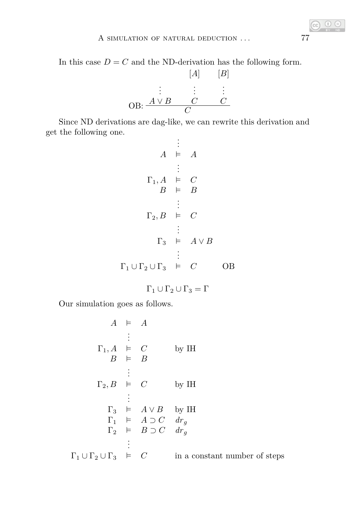In this case  $D = C$  and the ND-derivation has the following form.

$$
[A] \qquad [B]
$$
\n
$$
\vdots \qquad \vdots \qquad \vdots
$$
\n
$$
OB: \frac{A \vee B \qquad C \qquad C}{C}
$$

Since ND derivations are dag-like, we can rewrite this derivation and get the following one.

$$
\vdots
$$
\n
$$
A \models A
$$
\n
$$
\vdots
$$
\n
$$
\Gamma_1, A \models C
$$
\n
$$
B \models B
$$
\n
$$
\vdots
$$
\n
$$
\Gamma_2, B \models C
$$
\n
$$
\vdots
$$
\n
$$
\Gamma_3 \models A \lor B
$$
\n
$$
\vdots
$$
\n
$$
\Gamma_1 \cup \Gamma_2 \cup \Gamma_3 \models C
$$
\n
$$
\Box B
$$

 $\Gamma_1 \cup \Gamma_2 \cup \Gamma_3 = \Gamma$ 

Our simulation goes as follows.

$$
A \models A
$$
\n
$$
\vdots
$$
\n
$$
\Gamma_1, A \models C
$$
\n
$$
\vdots
$$
\n
$$
\Gamma_2, B \models C
$$
\n
$$
\vdots
$$
\n
$$
\Gamma_3 \models A \lor B
$$
\n
$$
\Gamma_1 \models A \supset C \quad d_{Tg}
$$
\n
$$
\Gamma_2 \models B \supset C \quad d_{Tg}
$$
\n
$$
\vdots
$$
\n
$$
\Gamma_1 \cup \Gamma_2 \cup \Gamma_3 \models C
$$
\nin a constant number of steps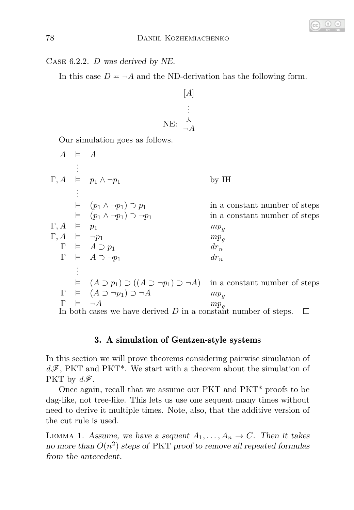

Case 6.2.2. *D* was derived by NE.

In this case  $D = \neg A$  and the ND-derivation has the following form.

$$
[A] \begin{array}{c} [A] \\ \vdots \\ \text{NE: } \frac{\lambda}{\neg A} \end{array}
$$

Our simulation goes as follows.

|                                                                  | $A \equiv A$ |                                                                                                        |                               |  |  |  |  |
|------------------------------------------------------------------|--------------|--------------------------------------------------------------------------------------------------------|-------------------------------|--|--|--|--|
|                                                                  |              |                                                                                                        |                               |  |  |  |  |
|                                                                  |              | $\Gamma, A \models p_1 \wedge \neg p_1$                                                                | $by$ IH                       |  |  |  |  |
|                                                                  |              |                                                                                                        |                               |  |  |  |  |
|                                                                  |              | $\models (p_1 \wedge \neg p_1) \supset p_1$                                                            | in a constant number of steps |  |  |  |  |
|                                                                  |              | $\models (p_1 \wedge \neg p_1) \supset \neg p_1$                                                       | in a constant number of steps |  |  |  |  |
| $\Gamma, A \models p_1$                                          |              |                                                                                                        | $mp_a$                        |  |  |  |  |
| $\Gamma, A \models \neg p_1$                                     |              |                                                                                                        | $mp_q$                        |  |  |  |  |
|                                                                  |              | $\Gamma \models A \supset p_1$                                                                         | $dr_n$                        |  |  |  |  |
|                                                                  |              | $\Gamma \models A \supset \neg p_1$                                                                    | $dr_n$                        |  |  |  |  |
|                                                                  |              |                                                                                                        |                               |  |  |  |  |
|                                                                  |              | $\vdash$ $(A \supset p_1) \supset ((A \supset \neg p_1) \supset \neg A)$ in a constant number of steps |                               |  |  |  |  |
|                                                                  |              | $\Gamma \models (A \supset \neg p_1) \supset \neg A$                                                   | $mp_a$                        |  |  |  |  |
|                                                                  |              | $\models \neg A$                                                                                       | $m p_g$                       |  |  |  |  |
| In both cases we have derived $D$ in a constant number of steps. |              |                                                                                                        |                               |  |  |  |  |

# 3. A simulation of Gentzen-style systems

In this section we will prove theorems considering pairwise simulation of  $d\mathscr{F}$ , PKT and PKT<sup>\*</sup>. We start with a theorem about the simulation of PKT by  $d\mathscr{F}$ .

Once again, recall that we assume our PKT and PKT\* proofs to be dag-like, not tree-like. This lets us use one sequent many times without need to derive it multiple times. Note, also, that the additive version of the cut rule is used.

<span id="page-11-0"></span>LEMMA 1. Assume, we have a sequent  $A_1, \ldots, A_n \to C$ . Then it takes no more than  $O(n^2)$  steps of PKT proof to remove all repeated formulas from the antecedent.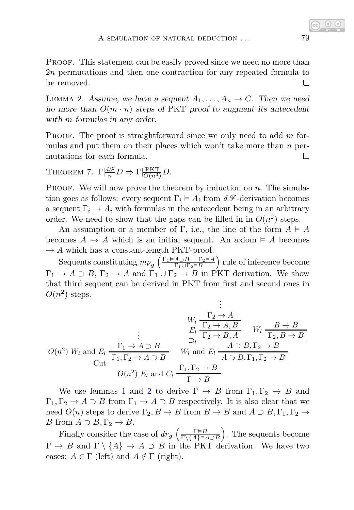PROOF. This statement can be easily proved since we need no more than 2*n* permutations and then one contraction for any repeated formula to be removed.  $\Box$ 

<span id="page-12-0"></span>LEMMA 2. Assume, we have a sequent  $A_1, \ldots, A_n \rightarrow C$ . Then we need no more than  $O(m \cdot n)$  steps of PKT proof to augment its antecedent with *m* formulas in any order.

Proof. The proof is straightforward since we only need to add *m* formulas and put them on their places which won't take more than *n* permutations for each formula.  $\Box$ 

<span id="page-12-1"></span>THEOREM 7.  $\Gamma \left| \frac{d\mathscr{F}}{n} D \right| \to \Gamma \left| \frac{PKT}{O(n^3)} D \right|$ .

PROOF. We will now prove the theorem by induction on *n*. The simulation goes as follows: every sequent  $\Gamma_i \models A_i$  from  $d\mathscr{F}$ -derivation becomes a sequent  $\Gamma_i \to A_i$  with formulas in the antecedent being in an arbitrary order. We need to show that the gaps can be filled in in  $O(n^2)$  steps.

An assumption or a member of  $\Gamma$ , i.e., the line of the form  $A \models A$ becomes  $A \to A$  which is an initial sequent. An axiom  $\models A$  becomes  $\rightarrow$  *A* which has a constant-length PKT-proof.

Sequents constituting  $mp_g \left( \frac{\Gamma_1 \models A \supset B}{\Gamma_1 \cup \Gamma_2 \models B} \frac{\Gamma_2 \models A}{\Gamma_2 \cup \Gamma_3 \models B} \right)$  $\frac{A \supset B \ \Gamma_2 \vDash A}{\Gamma_1 \cup \Gamma_2 \vDash B}$  rule of inference become  $\Gamma_1 \to A \supset B$ ,  $\Gamma_2 \to A$  and  $\Gamma_1 \cup \Gamma_2 \to B$  in PKT derivation. We show that third sequent can be derived in PKT from first and second ones in  $O(n^2)$  steps.

$$
O(n^2) W_l \text{ and } E_l \xrightarrow{\Gamma_1 \to A \to B} W_l \xrightarrow{\Gamma_2 \to A, B} W_l \xrightarrow{\Pi_2 \to B, A} W_l \xrightarrow{\Pi_2 \to B \to B} O(n^2) W_l \text{ and } E_l \xrightarrow{\Gamma_1, \Gamma_2 \to A \to B} W_l \text{ and } E_l \xrightarrow{\overline{A \to B, \Gamma_2 \to B}}
$$
  

$$
O(n^2) E_l \text{ and } C_l \xrightarrow{\Gamma_1, \Gamma_2 \to B} W_l \text{ and } E_l \xrightarrow{\overline{A \to B, \Gamma_1, \Gamma_2 \to B}}
$$

We use lemmas [1](#page-11-0) and [2](#page-12-0) to derive  $\Gamma \to B$  from  $\Gamma_1, \Gamma_2 \to B$  and  $\Gamma_1, \Gamma_2 \to A \supset B$  from  $\Gamma_1 \to A \supset B$  respectively. It is also clear that we need  $O(n)$  steps to derive  $\Gamma_2, B \to B$  from  $B \to B$  and  $A \supset B, \Gamma_1, \Gamma_2 \to$ *B* from  $A \supset B, \Gamma_2 \rightarrow B$ .

Finally consider the case of  $dr_g\left(\frac{\Gamma \models B}{\Gamma \setminus \{A\} \models A \supset B}\right)$ . The sequents become  $\Gamma \to B$  and  $\Gamma \setminus \{A\} \to A \supset B$  in the PKT derivation. We have two cases:  $A \in \Gamma$  (left) and  $A \notin \Gamma$  (right).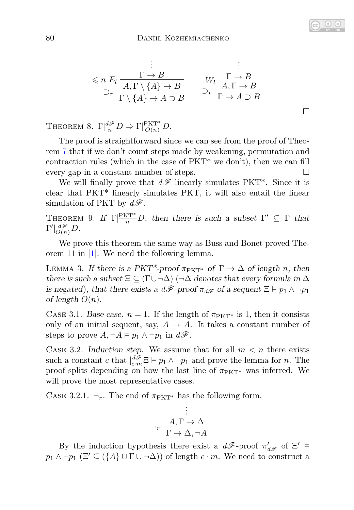$$
\leq n \ E_l \frac{\Gamma \to B}{\frac{A, \Gamma \setminus \{A\} \to B}{\Gamma \setminus \{A\} \to A \supset B}} \qquad \begin{array}{c}\n\vdots \\
W_l \frac{\Gamma \to B}{\frac{A, \Gamma \to B}{\Gamma \to A \supset B}} \\
\downarrow^c \frac{A, \Gamma \to B}{\Gamma \to A \supset B}\n\end{array}
$$

THEOREM 8.  $\Gamma \left| \frac{d\mathscr{F}}{n} D \right| \to \Gamma \left| \frac{PKT^*}{O(n)} D \right|$ .

The proof is straightforward since we can see from the proof of Theorem [7](#page-12-1) that if we don't count steps made by weakening, permutation and contraction rules (which in the case of  $PKT^*$  we don't), then we can fill every gap in a constant number of steps.

We will finally prove that  $d\mathscr{F}$  linearly simulates PKT<sup>\*</sup>. Since it is clear that PKT\* linearly simulates PKT, it will also entail the linear simulation of PKT by  $d\mathscr{F}$ .

<span id="page-13-0"></span>THEOREM 9. If  $\Gamma\vert\frac{PKT^*}{n}D$ , then there is such a subset  $\Gamma'\subseteq \Gamma$  that  $\Gamma'| \frac{d\mathscr{F}}{O(n)}D$ .

We prove this theorem the same way as Buss and Bonet proved Theorem 11 in [\[1\]](#page-16-2). We need the following lemma.

<span id="page-13-1"></span>LEMMA 3. If there is a PKT<sup>\*</sup>-proof  $\pi_{PKT^*}$  of  $\Gamma \to \Delta$  of length *n*, then there is such a subset  $\Xi \subseteq (\Gamma \cup \neg \Delta)$  ( $\neg \Delta$  denotes that every formula in  $\Delta$ is negated), that there exists a  $d\mathscr{F}$ -proof  $\pi_{d\mathscr{F}}$  of a sequent  $\Xi \models p_1 \land \neg p_1$ of length  $O(n)$ .

CASE 3.1. Base case.  $n = 1$ . If the length of  $\pi_{PKT^*}$  is 1, then it consists only of an initial sequent, say,  $A \to A$ . It takes a constant number of steps to prove  $A, \neg A \models p_1 \land \neg p_1$  in  $d\mathscr{F}$ .

CASE 3.2. Induction step. We assume that for all  $m < n$  there exists such a constant *c* that  $\left| \frac{d\mathcal{F}}{c \cdot m} \Xi \right| \models p_1 \land \neg p_1$  and prove the lemma for *n*. The proof splits depending on how the last line of  $\pi_{PKT}^*$  was inferred. We will prove the most representative cases.

CASE 3.2.1.  $\neg_r$ . The end of  $\pi_{PKT^*}$  has the following form.

$$
\vdots
$$
  

$$
\neg r \xrightarrow{\text{A}, \Gamma \to \Delta}
$$
  

$$
\Gamma \to \Delta, \neg A
$$

By the induction hypothesis there exist a  $d\mathscr{F}$ -proof  $\pi'_{d\mathscr{F}}$  of  $\Xi'$   $\models$  $p_1 \wedge \neg p_1 \ (\Xi' \subseteq (\lbrace A \rbrace \cup \Gamma \cup \neg \Delta))$  of length  $c \cdot m$ . We need to construct a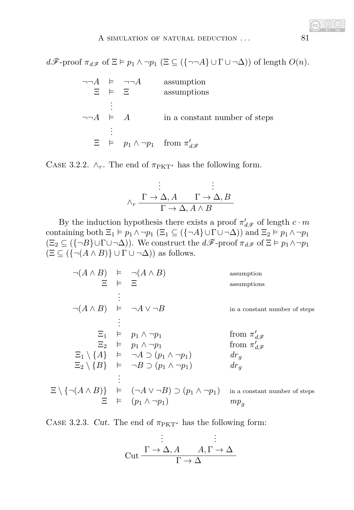$d\mathscr{F}\text{-proof }\pi_{d\mathscr{F}}\text{ of }\Xi\models p_1 \wedge \neg p_1 \ (\Xi \subseteq (\{\neg\neg A\} \cup \Gamma \cup \neg \Delta))\text{ of length }O(n).$ 

|                        | 宮 申 宮 | $\neg\neg A$ = $\neg\neg A$ | assumption<br>assumptions                                         |
|------------------------|-------|-----------------------------|-------------------------------------------------------------------|
| $\neg\neg A \models A$ |       |                             | in a constant number of steps                                     |
|                        |       |                             | $\Xi$ $\models$ $p_1 \wedge \neg p_1$ from $\pi'_{d,\mathscr{F}}$ |

CASE 3.2.2.  $\wedge_r$ . The end of  $\pi_{\text{PKT}}^*$  has the following form.

$$
\vdots
$$
\n
$$
\wedge_r \xrightarrow{\Gamma \to \Delta, A} \xrightarrow{\Gamma \to \Delta, B} \overline{\Gamma \to \Delta, A \wedge B}
$$

By the induction hypothesis there exists a proof  $\pi'_{d\mathscr{F}}$  of length  $c \cdot m$ containing both  $\Xi_1 \models p_1 \land \neg p_1$  ( $\Xi_1 \subseteq (\{\neg A\} \cup \Gamma \cup \neg \Delta)$ ) and  $\Xi_2 \models p_1 \land \neg p_1$  $(\Xi_2 \subseteq (\{\neg B\} \cup \Gamma \cup \neg \Delta))$ . We construct the  $d\mathscr{F}$ -proof  $\pi_{d\mathscr{F}}$  of  $\Xi \vDash p_1 \wedge \neg p_1$  $(\Xi \subseteq (\{\neg(A \land B)\} \cup \Gamma \cup \neg \Delta))$  as follows.

| $\neg(A \land B) \models \neg(A \land B)$    |         |                                                                                                          | assumption                    |
|----------------------------------------------|---------|----------------------------------------------------------------------------------------------------------|-------------------------------|
|                                              | $E = E$ |                                                                                                          | assumptions                   |
|                                              |         |                                                                                                          |                               |
| $\neg(A \land B) \models \neg A \lor \neg B$ |         |                                                                                                          | in a constant number of steps |
|                                              |         |                                                                                                          |                               |
|                                              |         | $\Xi_1$ $\models$ $p_1 \wedge \neg p_1$                                                                  | from $\pi'_{d\mathscr{F}}$    |
|                                              |         | $\Xi_2$ $\models$ $p_1 \wedge \neg p_1$                                                                  | from $\pi'_{d\mathcal{F}}$    |
|                                              |         | $\Xi_1 \setminus \{A\}$ = $\neg A \supset (p_1 \wedge \neg p_1)$                                         | $dr_q$                        |
|                                              |         | $\Xi_2 \setminus \{B\}$ = $\neg B \supset (p_1 \wedge \neg p_1)$                                         | $dr_q$                        |
|                                              |         |                                                                                                          |                               |
|                                              |         | $\Xi \setminus \{\neg(A \land B)\}\quad \vDash \quad (\neg A \lor \neg B) \supset (p_1 \land \neg p_1).$ | in a constant number of steps |
|                                              |         | $\Xi$ $\models$ $(p_1 \wedge \neg p_1)$                                                                  | $mp_a$                        |

CASE 3.2.3. Cut. The end of  $\pi_{\text{PKT}^*}$  has the following form:

$$
\vdots
$$
\n
$$
\text{Cut} \xrightarrow{\Gamma \to \Delta, A} A, \Gamma \to \Delta
$$
\n
$$
\frac{\vdots}{\Gamma \to \Delta}
$$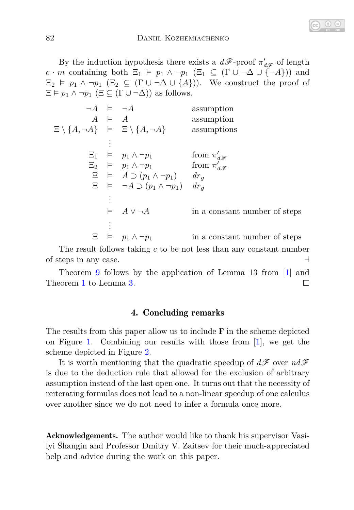By the induction hypothesis there exists a  $d\mathscr{F}$ -proof  $\pi'_{d\mathscr{F}}$  of length *c* · *m* containing both  $\Xi_1 \models p_1 \land \neg p_1 \ (\Xi_1 \subseteq (\Gamma \cup \neg \Delta \cup \{\neg A\}))$  and  $\Xi_2 \vDash p_1 \wedge \neg p_1 \ (\Xi_2 \subseteq (\Gamma \cup \neg \Delta \cup \{A\})).$  We construct the proof of  $\Xi \models p_1 \land \neg p_1 \ (\Xi \subseteq (\Gamma \cup \neg \Delta))$  as follows.

| $\neg A \models \neg A$                                               |               |                                                               | assumption                    |
|-----------------------------------------------------------------------|---------------|---------------------------------------------------------------|-------------------------------|
|                                                                       | $A \models A$ |                                                               | assumption                    |
| $\Xi \setminus \{A, \neg A\}$ $\models$ $\Xi \setminus \{A, \neg A\}$ |               |                                                               | assumptions                   |
|                                                                       |               |                                                               |                               |
|                                                                       |               | $\Xi_1$ $\models$ $p_1 \wedge \neg p_1$                       | from $\pi'_{d\mathscr{F}}$    |
|                                                                       |               | $\Xi_2$ = $p_1 \wedge \neg p_1$                               | from $\pi'_{d\mathscr{F}}$    |
|                                                                       |               | $\Xi \models A \supset (p_1 \wedge \neg p_1) \qquad dr_q$     |                               |
|                                                                       |               | $\Xi \models \neg A \supset (p_1 \wedge \neg p_1) \quad dr_a$ |                               |
|                                                                       |               |                                                               |                               |
|                                                                       |               | $\models A \vee \neg A$                                       | in a constant number of steps |
|                                                                       |               |                                                               |                               |
|                                                                       |               | $\Xi$ $\models$ $p_1 \wedge \neg p_1$                         | in a constant number of steps |

The result follows taking *c* to be not less than any constant number of steps in any case.  $\Box$ 

Theorem [9](#page-13-0) follows by the application of Lemma 13 from [\[1\]](#page-16-2) and Theorem [1](#page-3-0) to Lemma [3.](#page-13-1)  $\Box$ 

## 4. Concluding remarks

The results from this paper allow us to include  $\bf{F}$  in the scheme depicted on Figure [1.](#page-3-1) Combining our results with those from [\[1\]](#page-16-2), we get the scheme depicted in Figure [2.](#page-16-3)

It is worth mentioning that the quadratic speedup of  $d\mathscr{F}$  over  $nd\mathscr{F}$ is due to the deduction rule that allowed for the exclusion of arbitrary assumption instead of the last open one. It turns out that the necessity of reiterating formulas does not lead to a non-linear speedup of one calculus over another since we do not need to infer a formula once more.

Acknowledgements. The author would like to thank his supervisor Vasilyi Shangin and Professor Dmitry V. Zaitsev for their much-appreciated help and advice during the work on this paper.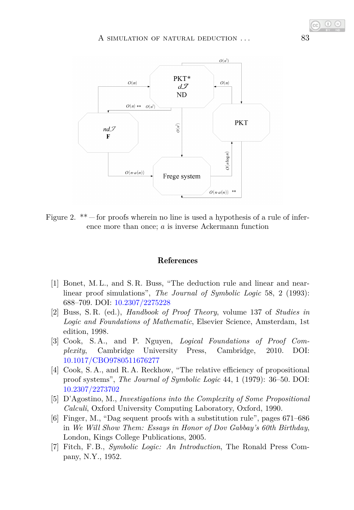

<span id="page-16-3"></span>Figure 2. \*\*  $-$  for proofs wherein no line is used a hypothesis of a rule of inference more than once; *a* is inverse Ackermann function

#### References

- <span id="page-16-2"></span>[1] Bonet, M. L., and S. R. Buss, "The deduction rule and linear and nearlinear proof simulations", *The Journal of Symbolic Logic* 58, 2 (1993): 688–709. DOI: [10.2307/2275228](https://doi.org/10.2307/2275228)
- [2] Buss, S. R. (ed.), *Handbook of Proof Theory*, volume 137 of *Studies in Logic and Foundations of Mathematic*, Elsevier Science, Amsterdam, 1st edition, 1998.
- <span id="page-16-1"></span>[3] Cook, S. A., and P. Nguyen, *Logical Foundations of Proof Complexity*, Cambridge University Press, Cambridge, 2010. DOI: [10.1017/CBO9780511676277](http://dx.doi.org/10.1017/CBO9780511676277)
- [4] Cook, S. A., and R. A. Reckhow, "The relative efficiency of propositional proof systems", *The Journal of Symbolic Logic* 44, 1 (1979): 36–50. DOI: [10.2307/2273702](http://dx.doi.org/10.2307/2273702)
- [5] D'Agostino, M., *Investigations into the Complexity of Some Propositional Calculi*, Oxford University Computing Laboratory, Oxford, 1990.
- <span id="page-16-0"></span>[6] Finger, M., "Dag sequent proofs with a substitution rule", pages 671–686 in *We Will Show Them: Essays in Honor of Dov Gabbay's 60th Birthday*, London, Kings College Publications, 2005.
- [7] Fitch, F. B., *Symbolic Logic: An Introduction*, The Ronald Press Company, N.Y., 1952.